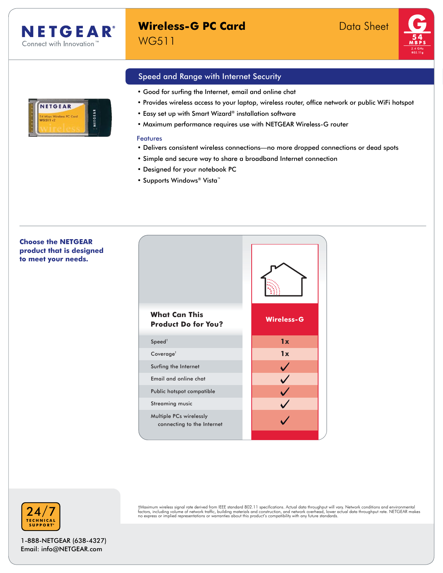**NETGEAR** 

less PC Can

NETGEAR

# **Wireless-G PC Card** Data Sheet WG511



# Speed and Range with Internet Security

- Good for surfing the Internet, email and online chat
- Provides wireless access to your laptop, wireless router, office network or public WiFi hotspot
- Easy set up with Smart Wizard® installation software
- Maximum performance requires use with NETGEAR Wireless-G router

#### Features

- Delivers consistent wireless connections—no more dropped connections or dead spots
- Simple and secure way to share a broadband Internet connection
- Designed for your notebook PC
- Supports Windows® Vista™

**Choose the NETGEAR product that is designed to meet your needs.**





†Maximum wireless signal rate derived from IEEE standard 802.11 specifications. Actual data throughput will vary. Network conditions and environmental<br>factors, including volume of network traffic, building materials and co

1-888-NETGEAR (638-4327) Email: info@NETGEAR.com